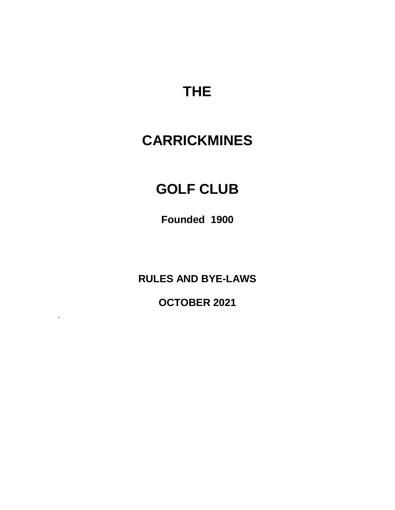# **THE**

# **CARRICKMINES**

# **GOLF CLUB**

**Founded 1900**

**RULES AND BYE-LAWS**

**OCTOBER 2021**

**`**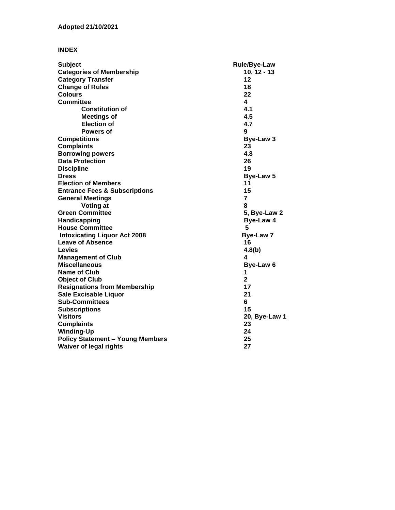## **INDEX**

| <b>Subject</b>                           | <b>Rule/Bye-Law</b> |
|------------------------------------------|---------------------|
| <b>Categories of Membership</b>          | $10, 12 - 13$       |
| <b>Category Transfer</b>                 | 12                  |
| <b>Change of Rules</b>                   | 18                  |
| <b>Colours</b>                           | 22                  |
| <b>Committee</b>                         | 4                   |
| <b>Constitution of</b>                   | 4.1                 |
| <b>Meetings of</b>                       | 4.5                 |
| <b>Election of</b>                       | 4.7                 |
| Powers of                                | 9                   |
| <b>Competitions</b>                      | <b>Bye-Law 3</b>    |
| <b>Complaints</b>                        | 23                  |
| <b>Borrowing powers</b>                  | 4.8                 |
| <b>Data Protection</b>                   | 26                  |
| <b>Discipline</b>                        | 19                  |
| <b>Dress</b>                             | <b>Bye-Law 5</b>    |
| <b>Election of Members</b>               | 11                  |
| <b>Entrance Fees &amp; Subscriptions</b> | 15                  |
| <b>General Meetings</b>                  | 7                   |
| Voting at                                | 8                   |
| <b>Green Committee</b>                   | 5, Bye-Law 2        |
| Handicapping                             | Bye-Law 4           |
| <b>House Committee</b>                   | 5                   |
| <b>Intoxicating Liquor Act 2008</b>      | Bye-Law 7           |
| <b>Leave of Absence</b>                  | 16                  |
| Levies                                   | 4.8(b)              |
| <b>Management of Club</b>                | 4                   |
| <b>Miscellaneous</b>                     | Bye-Law 6           |
| <b>Name of Club</b>                      | 1                   |
| <b>Object of Club</b>                    | $\mathbf{2}$        |
| <b>Resignations from Membership</b>      | 17                  |
| <b>Sale Excisable Liquor</b>             | 21                  |
| <b>Sub-Committees</b>                    | 6                   |
| <b>Subscriptions</b>                     | 15                  |
| <b>Visitors</b>                          | 20, Bye-Law 1       |
| <b>Complaints</b>                        | 23                  |
| <b>Winding-Up</b>                        | 24                  |
| <b>Policy Statement - Young Members</b>  | 25                  |
| <b>Waiver of legal rights</b>            | 27                  |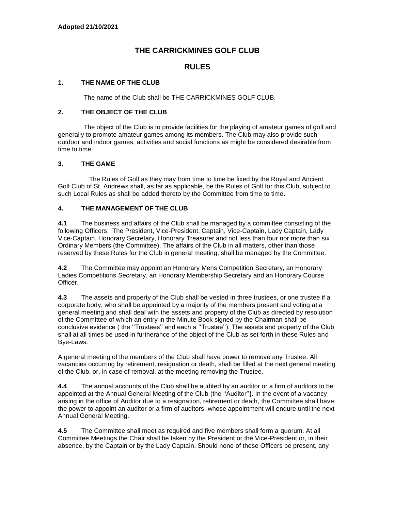# **THE CARRICKMINES GOLF CLUB**

## **RULES**

#### **1. THE NAME OF THE CLUB**

The name of the Club shall be THE CARRICKMINES GOLF CLUB.

### **2. THE OBJECT OF THE CLUB**

The object of the Club is to provide facilities for the playing of amateur games of golf and generally to promote amateur games among its members. The Club may also provide such outdoor and indoor games, activities and social functions as might be considered desirable from time to time.

#### **3. THE GAME**

 The Rules of Golf as they may from time to time be fixed by the Royal and Ancient Golf Club of St. Andrews shall, as far as applicable, be the Rules of Golf for this Club, subject to such Local Rules as shall be added thereto by the Committee from time to time.

#### **4. THE MANAGEMENT OF THE CLUB**

**4.1** The business and affairs of the Club shall be managed by a committee consisting of the following Officers: The President, Vice-President, Captain, Vice-Captain, Lady Captain, Lady Vice-Captain, Honorary Secretary, Honorary Treasurer and not less than four nor more than six Ordinary Members (the Committee). The affairs of the Club in all matters, other than those reserved by these Rules for the Club in general meeting, shall be managed by the Committee.

**4.2** The Committee may appoint an Honorary Mens Competition Secretary, an Honorary Ladies Competitions Secretary, an Honorary Membership Secretary and an Honorary Course Officer.

**4.3** The assets and property of the Club shall be vested in three trustees, or one trustee if a corporate body, who shall be appointed by a majority of the members present and voting at a general meeting and shall deal with the assets and property of the Club as directed by resolution of the Committee of which an entry in the Minute Book signed by the Chairman shall be conclusive evidence ( the ''Trustees'' and each a ''Trustee''). The assets and property of the Club shall at all times be used in furtherance of the object of the Club as set forth in these Rules and Bye-Laws.

A general meeting of the members of the Club shall have power to remove any Trustee. All vacancies occurring by retirement, resignation or death, shall be filled at the next general meeting of the Club, or, in case of removal, at the meeting removing the Trustee.

**4.4** The annual accounts of the Club shall be audited by an auditor or a firm of auditors to be appointed at the Annual General Meeting of the Club (the ''Auditor''**).** In the event of a vacancy arising in the office of Auditor due to a resignation, retirement or death, the Committee shall have the power to appoint an auditor or a firm of auditors, whose appointment will endure until the next Annual General Meeting.

**4.5** The Committee shall meet as required and five members shall form a quorum. At all Committee Meetings the Chair shall be taken by the President or the Vice-President or, in their absence, by the Captain or by the Lady Captain. Should none of these Officers be present, any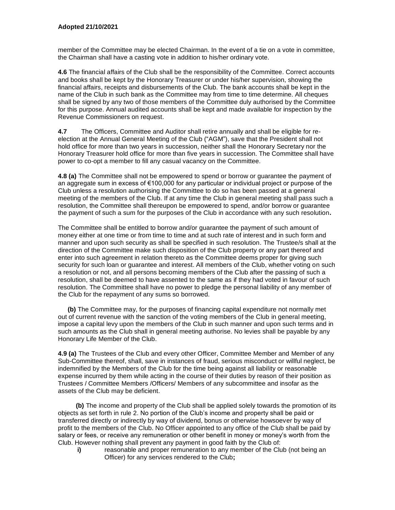member of the Committee may be elected Chairman. In the event of a tie on a vote in committee, the Chairman shall have a casting vote in addition to his/her ordinary vote.

**4.6** The financial affairs of the Club shall be the responsibility of the Committee. Correct accounts and books shall be kept by the Honorary Treasurer or under his/her supervision, showing the financial affairs, receipts and disbursements of the Club. The bank accounts shall be kept in the name of the Club in such bank as the Committee may from time to time determine. All cheques shall be signed by any two of those members of the Committee duly authorised by the Committee for this purpose. Annual audited accounts shall be kept and made available for inspection by the Revenue Commissioners on request.

**4.7** The Officers, Committee and Auditor shall retire annually and shall be eligible for reelection at the Annual General Meeting of the Club ("AGM"), save that the President shall not hold office for more than two years in succession, neither shall the Honorary Secretary nor the Honorary Treasurer hold office for more than five years in succession. The Committee shall have power to co-opt a member to fill any casual vacancy on the Committee.

**4.8 (a)** The Committee shall not be empowered to spend or borrow or guarantee the payment of an aggregate sum in excess of  $\epsilon$ 100,000 for any particular or individual project or purpose of the Club unless a resolution authorising the Committee to do so has been passed at a general meeting of the members of the Club. If at any time the Club in general meeting shall pass such a resolution, the Committee shall thereupon be empowered to spend, and/or borrow or guarantee the payment of such a sum for the purposes of the Club in accordance with any such resolution**.**

The Committee shall be entitled to borrow and/or guarantee the payment of such amount of money either at one time or from time to time and at such rate of interest and in such form and manner and upon such security as shall be specified in such resolution. The Trustee/s shall at the direction of the Committee make such disposition of the Club property or any part thereof and enter into such agreement in relation thereto as the Committee deems proper for giving such security for such loan or guarantee and interest. All members of the Club, whether voting on such a resolution or not, and all persons becoming members of the Club after the passing of such a resolution, shall be deemed to have assented to the same as if they had voted in favour of such resolution. The Committee shall have no power to pledge the personal liability of any member of the Club for the repayment of any sums so borrowed.

**(b)** The Committee may, for the purposes of financing capital expenditure not normally met out of current revenue with the sanction of the voting members of the Club in general meeting, impose a capital levy upon the members of the Club in such manner and upon such terms and in such amounts as the Club shall in general meeting authorise. No levies shall be payable by any Honorary Life Member of the Club.

**4.9 (a)** The Trustees of the Club and every other Officer, Committee Member and Member of any Sub-Committee thereof, shall, save in instances of fraud, serious misconduct or willful neglect, be indemnified by the Members of the Club for the time being against all liability or reasonable expense incurred by them while acting in the course of their duties by reason of their position as Trustees / Committee Members /Officers/ Members of any subcommittee and insofar as the assets of the Club may be deficient.

**(b)** The income and property of the Club shall be applied solely towards the promotion of its objects as set forth in rule 2. No portion of the Club's income and property shall be paid or transferred directly or indirectly by way of dividend, bonus or otherwise howsoever by way of profit to the members of the Club. No Officer appointed to any office of the Club shall be paid by salary or fees, or receive any remuneration or other benefit in money or money's worth from the Club. However nothing shall prevent any payment in good faith by the Club of:

**i)** reasonable and proper remuneration to any member of the Club (not being an Officer) for any services rendered to the Club**;**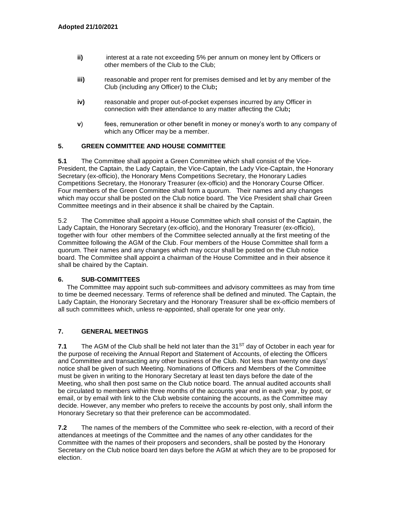- **ii)** interest at a rate not exceeding 5% per annum on money lent by Officers or other members of the Club to the Club;
- **iii)** reasonable and proper rent for premises demised and let by any member of the Club (including any Officer) to the Club**;**
- **iv)** reasonable and proper out-of-pocket expenses incurred by any Officer in connection with their attendance to any matter affecting the Club**;**
- **v**) fees, remuneration or other benefit in money or money's worth to any company of which any Officer may be a member.

#### **5. GREEN COMMITTEE AND HOUSE COMMITTEE**

**5.1** The Committee shall appoint a Green Committee which shall consist of the Vice-President, the Captain, the Lady Captain, the Vice-Captain, the Lady Vice-Captain, the Honorary Secretary (ex-officio), the Honorary Mens Competitions Secretary, the Honorary Ladies Competitions Secretary, the Honorary Treasurer (ex-officio) and the Honorary Course Officer. Four members of the Green Committee shall form a quorum. Their names and any changes which may occur shall be posted on the Club notice board. The Vice President shall chair Green Committee meetings and in their absence it shall be chaired by the Captain.

5.2 The Committee shall appoint a House Committee which shall consist of the Captain, the Lady Captain, the Honorary Secretary (ex-officio), and the Honorary Treasurer (ex-officio), together with four other members of the Committee selected annually at the first meeting of the Committee following the AGM of the Club. Four members of the House Committee shall form a quorum. Their names and any changes which may occur shall be posted on the Club notice board. The Committee shall appoint a chairman of the House Committee and in their absence it shall be chaired by the Captain.

#### **6. SUB-COMMITTEES**

 The Committee may appoint such sub-committees and advisory committees as may from time to time be deemed necessary. Terms of reference shall be defined and minuted. The Captain, the Lady Captain, the Honorary Secretary and the Honorary Treasurer shall be ex-officio members of all such committees which, unless re-appointed, shall operate for one year only.

#### **7. GENERAL MEETINGS**

**7.1** The AGM of the Club shall be held not later than the 31<sup>ST</sup> day of October in each year for the purpose of receiving the Annual Report and Statement of Accounts, of electing the Officers and Committee and transacting any other business of the Club. Not less than twenty one days' notice shall be given of such Meeting. Nominations of Officers and Members of the Committee must be given in writing to the Honorary Secretary at least ten days before the date of the Meeting, who shall then post same on the Club notice board. The annual audited accounts shall be circulated to members within three months of the accounts year end in each year, by post, or email, or by email with link to the Club website containing the accounts, as the Committee may decide. However, any member who prefers to receive the accounts by post only, shall inform the Honorary Secretary so that their preference can be accommodated.

**7.2** The names of the members of the Committee who seek re-election, with a record of their attendances at meetings of the Committee and the names of any other candidates for the Committee with the names of their proposers and seconders, shall be posted by the Honorary Secretary on the Club notice board ten days before the AGM at which they are to be proposed for election.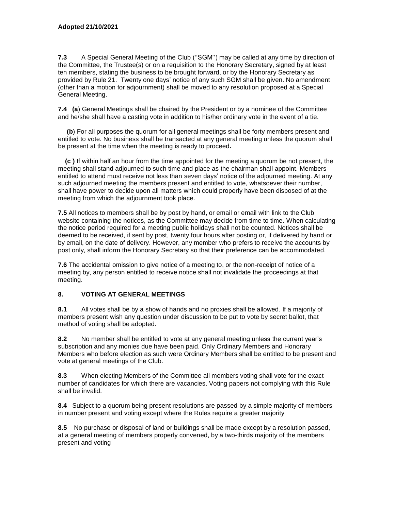**7.3** A Special General Meeting of the Club (''SGM'') may be called at any time by direction of the Committee, the Trustee(s) or on a requisition to the Honorary Secretary, signed by at least ten members, stating the business to be brought forward, or by the Honorary Secretary as provided by Rule 21. Twenty one days' notice of any such SGM shall be given. No amendment (other than a motion for adjournment) shall be moved to any resolution proposed at a Special General Meeting.

**7.4 (a**) General Meetings shall be chaired by the President or by a nominee of the Committee and he/she shall have a casting vote in addition to his/her ordinary vote in the event of a tie.

 **(b**) For all purposes the quorum for all general meetings shall be forty members present and entitled to vote. No business shall be transacted at any general meeting unless the quorum shall be present at the time when the meeting is ready to proceed**.**

 **(c )** If within half an hour from the time appointed for the meeting a quorum be not present, the meeting shall stand adjourned to such time and place as the chairman shall appoint. Members entitled to attend must receive not less than seven days' notice of the adjourned meeting. At any such adjourned meeting the members present and entitled to vote, whatsoever their number, shall have power to decide upon all matters which could properly have been disposed of at the meeting from which the adjournment took place.

**7.5** All notices to members shall be by post by hand, or email or email with link to the Club website containing the notices, as the Committee may decide from time to time. When calculating the notice period required for a meeting public holidays shall not be counted. Notices shall be deemed to be received, if sent by post, twenty four hours after posting or, if delivered by hand or by email, on the date of delivery. However, any member who prefers to receive the accounts by post only, shall inform the Honorary Secretary so that their preference can be accommodated.

**7.6** The accidental omission to give notice of a meeting to, or the non-receipt of notice of a meeting by, any person entitled to receive notice shall not invalidate the proceedings at that meeting.

#### **8. VOTING AT GENERAL MEETINGS**

**8.1** All votes shall be by a show of hands and no proxies shall be allowed. If a majority of members present wish any question under discussion to be put to vote by secret ballot, that method of voting shall be adopted.

**8.2** No member shall be entitled to vote at any general meeting unless the current year's subscription and any monies due have been paid. Only Ordinary Members and Honorary Members who before election as such were Ordinary Members shall be entitled to be present and vote at general meetings of the Club.

**8.3** When electing Members of the Committee all members voting shall vote for the exact number of candidates for which there are vacancies. Voting papers not complying with this Rule shall be invalid.

**8.4** Subject to a quorum being present resolutions are passed by a simple majority of members in number present and voting except where the Rules require a greater majority

**8.5** No purchase or disposal of land or buildings shall be made except by a resolution passed, at a general meeting of members properly convened, by a two-thirds majority of the members present and voting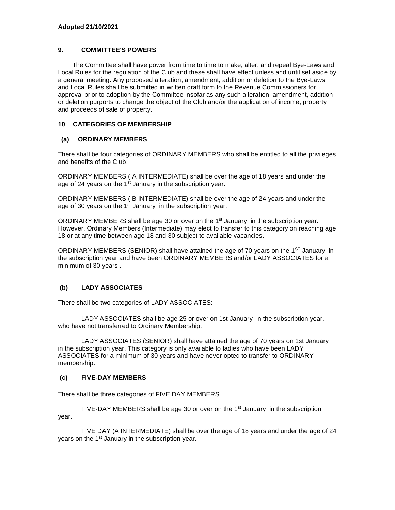## **9. COMMITTEE'S POWERS**

 The Committee shall have power from time to time to make, alter, and repeal Bye-Laws and Local Rules for the regulation of the Club and these shall have effect unless and until set aside by a general meeting. Any proposed alteration, amendment, addition or deletion to the Bye-Laws and Local Rules shall be submitted in written draft form to the Revenue Commissioners for approval prior to adoption by the Committee insofar as any such alteration, amendment, addition or deletion purports to change the object of the Club and/or the application of income, property and proceeds of sale of property.

## **10. CATEGORIES OF MEMBERSHIP**

## **(a) ORDINARY MEMBERS**

There shall be four categories of ORDINARY MEMBERS who shall be entitled to all the privileges and benefits of the Club:

ORDINARY MEMBERS ( A INTERMEDIATE) shall be over the age of 18 years and under the age of 24 years on the  $1<sup>st</sup>$  January in the subscription year.

ORDINARY MEMBERS ( B INTERMEDIATE) shall be over the age of 24 years and under the age of 30 years on the 1<sup>st</sup> January in the subscription year.

ORDINARY MEMBERS shall be age 30 or over on the 1<sup>st</sup> January in the subscription year. However, Ordinary Members (Intermediate) may elect to transfer to this category on reaching age 18 or at any time between age 18 and 30 subject to available vacancies**.**

ORDINARY MEMBERS (SENIOR) shall have attained the age of 70 years on the  $1<sup>ST</sup>$  January in the subscription year and have been ORDINARY MEMBERS and/or LADY ASSOCIATES for a minimum of 30 years .

## **(b) LADY ASSOCIATES**

There shall be two categories of LADY ASSOCIATES:

LADY ASSOCIATES shall be age 25 or over on 1st January in the subscription year, who have not transferred to Ordinary Membership.

LADY ASSOCIATES (SENIOR) shall have attained the age of 70 years on 1st January in the subscription year. This category is only available to ladies who have been LADY ASSOCIATES for a minimum of 30 years and have never opted to transfer to ORDINARY membership.

#### **(c) FIVE-DAY MEMBERS**

There shall be three categories of FIVE DAY MEMBERS

FIVE-DAY MEMBERS shall be age 30 or over on the  $1<sup>st</sup>$  January in the subscription year.

FIVE DAY (A INTERMEDIATE) shall be over the age of 18 years and under the age of 24 years on the 1<sup>st</sup> January in the subscription year.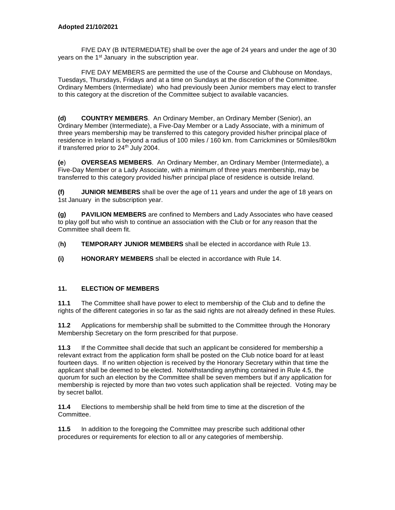FIVE DAY (B INTERMEDIATE) shall be over the age of 24 years and under the age of 30 years on the 1<sup>st</sup> January in the subscription year.

FIVE DAY MEMBERS are permitted the use of the Course and Clubhouse on Mondays, Tuesdays, Thursdays, Fridays and at a time on Sundays at the discretion of the Committee. Ordinary Members (Intermediate) who had previously been Junior members may elect to transfer to this category at the discretion of the Committee subject to available vacancies.

**(d) COUNTRY MEMBERS**. An Ordinary Member, an Ordinary Member (Senior), an Ordinary Member (Intermediate), a Five-Day Member or a Lady Associate, with a minimum of three years membership may be transferred to this category provided his/her principal place of residence in Ireland is beyond a radius of 100 miles / 160 km. from Carrickmines or 50miles/80km if transferred prior to  $24<sup>th</sup>$  July 2004.

**(e**) **OVERSEAS MEMBERS**. An Ordinary Member, an Ordinary Member (Intermediate), a Five-Day Member or a Lady Associate, with a minimum of three years membership, may be transferred to this category provided his/her principal place of residence is outside Ireland.

**(f) JUNIOR MEMBERS** shall be over the age of 11 years and under the age of 18 years on 1st January in the subscription year.

**(g) PAVILION MEMBERS** are confined to Members and Lady Associates who have ceased to play golf but who wish to continue an association with the Club or for any reason that the Committee shall deem fit.

(**h) TEMPORARY JUNIOR MEMBERS** shall be elected in accordance with Rule 13.

**(i) HONORARY MEMBERS** shall be elected in accordance with Rule 14.

## **11. ELECTION OF MEMBERS**

**11.1** The Committee shall have power to elect to membership of the Club and to define the rights of the different categories in so far as the said rights are not already defined in these Rules.

**11.2** Applications for membership shall be submitted to the Committee through the Honorary Membership Secretary on the form prescribed for that purpose.

**11.3** If the Committee shall decide that such an applicant be considered for membership a relevant extract from the application form shall be posted on the Club notice board for at least fourteen days. If no written objection is received by the Honorary Secretary within that time the applicant shall be deemed to be elected. Notwithstanding anything contained in Rule 4.5, the quorum for such an election by the Committee shall be seven members but if any application for membership is rejected by more than two votes such application shall be rejected. Voting may be by secret ballot.

**11.4** Elections to membership shall be held from time to time at the discretion of the Committee.

**11.5** In addition to the foregoing the Committee may prescribe such additional other procedures or requirements for election to all or any categories of membership.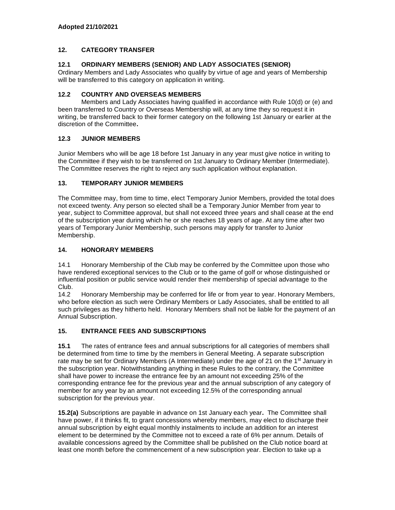## **12. CATEGORY TRANSFER**

### **12.1 ORDINARY MEMBERS (SENIOR) AND LADY ASSOCIATES (SENIOR)**

Ordinary Members and Lady Associates who qualify by virtue of age and years of Membership will be transferred to this category on application in writing.

### **12.2 COUNTRY AND OVERSEAS MEMBERS**

Members and Lady Associates having qualified in accordance with Rule 10(d) or (e) and been transferred to Country or Overseas Membership will, at any time they so request it in writing, be transferred back to their former category on the following 1st January or earlier at the discretion of the Committee**.**

## **12.3 JUNIOR MEMBERS**

Junior Members who will be age 18 before 1st January in any year must give notice in writing to the Committee if they wish to be transferred on 1st January to Ordinary Member (Intermediate). The Committee reserves the right to reject any such application without explanation.

#### **13. TEMPORARY JUNIOR MEMBERS**

The Committee may, from time to time, elect Temporary Junior Members, provided the total does not exceed twenty. Any person so elected shall be a Temporary Junior Member from year to year, subject to Committee approval, but shall not exceed three years and shall cease at the end of the subscription year during which he or she reaches 18 years of age. At any time after two years of Temporary Junior Membership, such persons may apply for transfer to Junior Membership.

## **14. HONORARY MEMBERS**

14.1 Honorary Membership of the Club may be conferred by the Committee upon those who have rendered exceptional services to the Club or to the game of golf or whose distinguished or influential position or public service would render their membership of special advantage to the Club.

14.2 Honorary Membership may be conferred for life or from year to year. Honorary Members, who before election as such were Ordinary Members or Lady Associates, shall be entitled to all such privileges as they hitherto held. Honorary Members shall not be liable for the payment of an Annual Subscription.

## **15. ENTRANCE FEES AND SUBSCRIPTIONS**

**15.1** The rates of entrance fees and annual subscriptions for all categories of members shall be determined from time to time by the members in General Meeting. A separate subscription rate may be set for Ordinary Members (A Intermediate) under the age of 21 on the 1<sup>st</sup> January in the subscription year. Notwithstanding anything in these Rules to the contrary, the Committee shall have power to increase the entrance fee by an amount not exceeding 25% of the corresponding entrance fee for the previous year and the annual subscription of any category of member for any year by an amount not exceeding 12.5% of the corresponding annual subscription for the previous year.

**15.2(a)** Subscriptions are payable in advance on 1st January each year**.** The Committee shall have power, if it thinks fit, to grant concessions whereby members, may elect to discharge their annual subscription by eight equal monthly instalments to include an addition for an interest element to be determined by the Committee not to exceed a rate of 6% per annum. Details of available concessions agreed by the Committee shall be published on the Club notice board at least one month before the commencement of a new subscription year. Election to take up a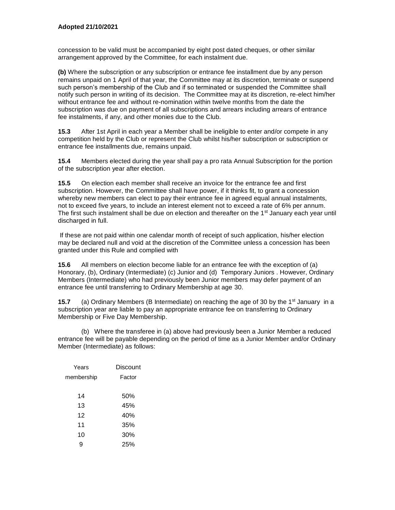concession to be valid must be accompanied by eight post dated cheques, or other similar arrangement approved by the Committee, for each instalment due.

**(b)** Where the subscription or any subscription or entrance fee installment due by any person remains unpaid on 1 April of that year, the Committee may at its discretion, terminate or suspend such person's membership of the Club and if so terminated or suspended the Committee shall notify such person in writing of its decision. The Committee may at its discretion, re-elect him/her without entrance fee and without re-nomination within twelve months from the date the subscription was due on payment of all subscriptions and arrears including arrears of entrance fee instalments, if any, and other monies due to the Club.

**15.3** After 1st April in each year a Member shall be ineligible to enter and/or compete in any competition held by the Club or represent the Club whilst his/her subscription or subscription or entrance fee installments due, remains unpaid.

**15.4** Members elected during the year shall pay a pro rata Annual Subscription for the portion of the subscription year after election.

**15.5** On election each member shall receive an invoice for the entrance fee and first subscription. However, the Committee shall have power, if it thinks fit, to grant a concession whereby new members can elect to pay their entrance fee in agreed equal annual instalments, not to exceed five years, to include an interest element not to exceed a rate of 6% per annum. The first such instalment shall be due on election and thereafter on the  $1<sup>st</sup>$  January each year until discharged in full.

If these are not paid within one calendar month of receipt of such application, his/her election may be declared null and void at the discretion of the Committee unless a concession has been granted under this Rule and complied with

**15.6** All members on election become liable for an entrance fee with the exception of (a) Honorary, (b), Ordinary (Intermediate) (c) Junior and (d) Temporary Juniors . However, Ordinary Members (Intermediate) who had previously been Junior members may defer payment of an entrance fee until transferring to Ordinary Membership at age 30.

**15.7** (a) Ordinary Members (B Intermediate) on reaching the age of 30 by the 1<sup>st</sup> January in a subscription year are liable to pay an appropriate entrance fee on transferring to Ordinary Membership or Five Day Membership.

(b) Where the transferee in (a) above had previously been a Junior Member a reduced entrance fee will be payable depending on the period of time as a Junior Member and/or Ordinary Member (Intermediate) as follows:

| Years      | Discount |
|------------|----------|
| membership | Factor   |
|            |          |
| 14         | 50%      |
| 13         | 45%      |
| 12         | 40%      |
| 11         | 35%      |
| 10         | 30%      |
| g          | 25%      |
|            |          |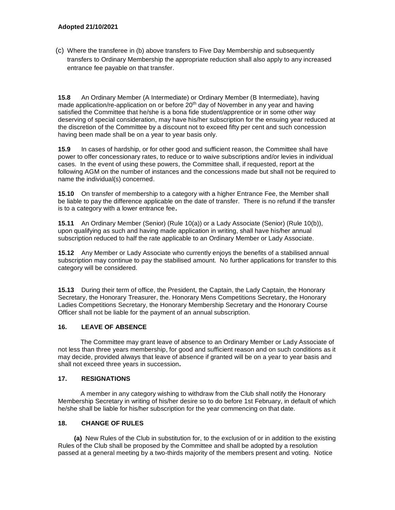(c) Where the transferee in (b) above transfers to Five Day Membership and subsequently transfers to Ordinary Membership the appropriate reduction shall also apply to any increased entrance fee payable on that transfer.

**15.8** An Ordinary Member (A Intermediate) or Ordinary Member (B Intermediate), having made application/re-application on or before 20<sup>th</sup> day of November in any year and having satisfied the Committee that he/she is a bona fide student/apprentice or in some other way deserving of special consideration, may have his/her subscription for the ensuing year reduced at the discretion of the Committee by a discount not to exceed fifty per cent and such concession having been made shall be on a year to year basis only.

**15.9** In cases of hardship, or for other good and sufficient reason, the Committee shall have power to offer concessionary rates, to reduce or to waive subscriptions and/or levies in individual cases. In the event of using these powers, the Committee shall, if requested, report at the following AGM on the number of instances and the concessions made but shall not be required to name the individual(s) concerned.

**15.10** On transfer of membership to a category with a higher Entrance Fee, the Member shall be liable to pay the difference applicable on the date of transfer. There is no refund if the transfer is to a category with a lower entrance fee**.**

**15.11** An Ordinary Member (Senior) (Rule 10(a)) or a Lady Associate (Senior) (Rule 10(b)), upon qualifying as such and having made application in writing, shall have his/her annual subscription reduced to half the rate applicable to an Ordinary Member or Lady Associate.

**15.12** Any Member or Lady Associate who currently enjoys the benefits of a stabilised annual subscription may continue to pay the stabilised amount. No further applications for transfer to this category will be considered.

**15.13** During their term of office, the President, the Captain, the Lady Captain, the Honorary Secretary, the Honorary Treasurer, the. Honorary Mens Competitions Secretary, the Honorary Ladies Competitions Secretary, the Honorary Membership Secretary and the Honorary Course Officer shall not be liable for the payment of an annual subscription.

#### **16. LEAVE OF ABSENCE**

The Committee may grant leave of absence to an Ordinary Member or Lady Associate of not less than three years membership, for good and sufficient reason and on such conditions as it may decide, provided always that leave of absence if granted will be on a year to year basis and shall not exceed three years in succession**.**

#### **17. RESIGNATIONS**

A member in any category wishing to withdraw from the Club shall notify the Honorary Membership Secretary in writing of his/her desire so to do before 1st February, in default of which he/she shall be liable for his/her subscription for the year commencing on that date.

#### **18. CHANGE OF RULES**

**(a)** New Rules of the Club in substitution for, to the exclusion of or in addition to the existing Rules of the Club shall be proposed by the Committee and shall be adopted by a resolution passed at a general meeting by a two-thirds majority of the members present and voting. Notice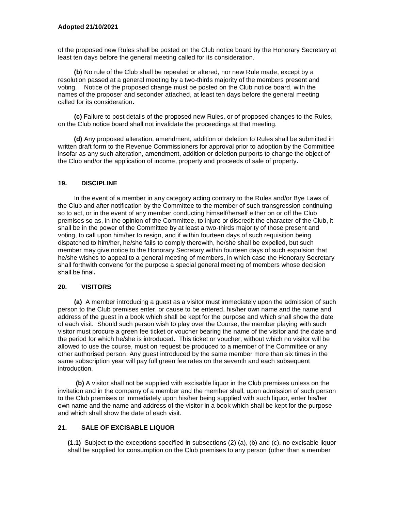of the proposed new Rules shall be posted on the Club notice board by the Honorary Secretary at least ten days before the general meeting called for its consideration.

 **(b**) No rule of the Club shall be repealed or altered, nor new Rule made, except by a resolution passed at a general meeting by a two-thirds majority of the members present and voting. Notice of the proposed change must be posted on the Club notice board, with the names of the proposer and seconder attached, at least ten days before the general meeting called for its consideration**.**

**(c)** Failure to post details of the proposed new Rules, or of proposed changes to the Rules, on the Club notice board shall not invalidate the proceedings at that meeting.

 **(d)** Any proposed alteration, amendment, addition or deletion to Rules shall be submitted in written draft form to the Revenue Commissioners for approval prior to adoption by the Committee insofar as any such alteration, amendment, addition or deletion purports to change the object of the Club and/or the application of income, property and proceeds of sale of property**.**

#### **19. DISCIPLINE**

In the event of a member in any category acting contrary to the Rules and/or Bye Laws of the Club and after notification by the Committee to the member of such transgression continuing so to act, or in the event of any member conducting himself/herself either on or off the Club premises so as, in the opinion of the Committee, to injure or discredit the character of the Club, it shall be in the power of the Committee by at least a two-thirds majority of those present and voting, to call upon him/her to resign, and if within fourteen days of such requisition being dispatched to him/her, he/she fails to comply therewith, he/she shall be expelled, but such member may give notice to the Honorary Secretary within fourteen days of such expulsion that he/she wishes to appeal to a general meeting of members, in which case the Honorary Secretary shall forthwith convene for the purpose a special general meeting of members whose decision shall be final**.**

#### **20. VISITORS**

**(a)** A member introducing a guest as a visitor must immediately upon the admission of such person to the Club premises enter, or cause to be entered, his/her own name and the name and address of the guest in a book which shall be kept for the purpose and which shall show the date of each visit. Should such person wish to play over the Course, the member playing with such visitor must procure a green fee ticket or voucher bearing the name of the visitor and the date and the period for which he/she is introduced. This ticket or voucher, without which no visitor will be allowed to use the course, must on request be produced to a member of the Committee or any other authorised person. Any guest introduced by the same member more than six times in the same subscription year will pay full green fee rates on the seventh and each subsequent introduction.

 **(b)** A visitor shall not be supplied with excisable liquor in the Club premises unless on the invitation and in the company of a member and the member shall, upon admission of such person to the Club premises or immediately upon his/her being supplied with such liquor, enter his/her own name and the name and address of the visitor in a book which shall be kept for the purpose and which shall show the date of each visit.

#### **21. SALE OF EXCISABLE LIQUOR**

**(1.1)** Subject to the exceptions specified in subsections (2) (a), (b) and (c), no excisable liquor shall be supplied for consumption on the Club premises to any person (other than a member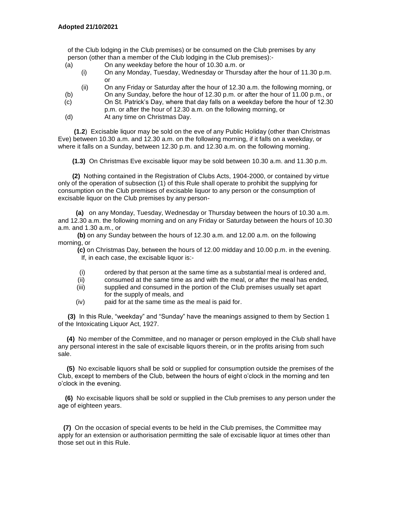of the Club lodging in the Club premises) or be consumed on the Club premises by any person (other than a member of the Club lodging in the Club premises):-

- (a) On any weekday before the hour of 10.30 a.m. or
	- (i) On any Monday, Tuesday, Wednesday or Thursday after the hour of 11.30 p.m. or
	- (ii) On any Friday or Saturday after the hour of 12.30 a.m. the following morning, or
- (b) On any Sunday, before the hour of 12.30 p.m. or after the hour of 11.00 p.m., or
- (c) On St. Patrick's Day, where that day falls on a weekday before the hour of 12.30 p.m. or after the hour of 12.30 a.m. on the following morning, or
- (d) At any time on Christmas Day.

 **(1.2**) Excisable liquor may be sold on the eve of any Public Holiday (other than Christmas Eve) between 10.30 a.m. and 12.30 a.m. on the following morning, if it falls on a weekday, or where it falls on a Sunday, between 12.30 p.m. and 12.30 a.m. on the following morning.

 **(1.3)** On Christmas Eve excisable liquor may be sold between 10.30 a.m. and 11.30 p.m.

 **(2)** Nothing contained in the Registration of Clubs Acts, 1904-2000, or contained by virtue only of the operation of subsection (1) of this Rule shall operate to prohibit the supplying for consumption on the Club premises of excisable liquor to any person or the consumption of excisable liquor on the Club premises by any person-

 **(a)** on any Monday, Tuesday, Wednesday or Thursday between the hours of 10.30 a.m. and 12.30 a.m. the following morning and on any Friday or Saturday between the hours of 10.30 a.m. and 1.30 a.m., or

**(b)** on any Sunday between the hours of 12.30 a.m. and 12.00 a.m. on the following morning, or

**(c)** on Christmas Day, between the hours of 12.00 midday and 10.00 p.m. in the evening. If, in each case, the excisable liquor is:-

- (i) ordered by that person at the same time as a substantial meal is ordered and,
- (ii) consumed at the same time as and with the meal, or after the meal has ended,
- (iii) supplied and consumed in the portion of the Club premises usually set apart for the supply of meals, and
- (iv) paid for at the same time as the meal is paid for.

**(3)** In this Rule, "weekday" and "Sunday" have the meanings assigned to them by Section 1 of the Intoxicating Liquor Act, 1927.

 **(4)** No member of the Committee, and no manager or person employed in the Club shall have any personal interest in the sale of excisable liquors therein, or in the profits arising from such sale.

 **(5)** No excisable liquors shall be sold or supplied for consumption outside the premises of the Club, except to members of the Club, between the hours of eight o'clock in the morning and ten o'clock in the evening.

 **(6)** No excisable liquors shall be sold or supplied in the Club premises to any person under the age of eighteen years.

 **(7)** On the occasion of special events to be held in the Club premises, the Committee may apply for an extension or authorisation permitting the sale of excisable liquor at times other than those set out in this Rule.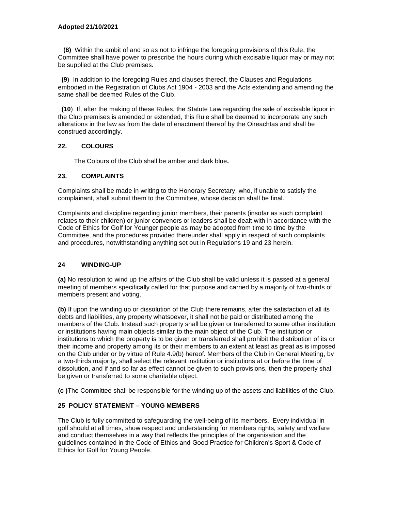**(8)** Within the ambit of and so as not to infringe the foregoing provisions of this Rule, the Committee shall have power to prescribe the hours during which excisable liquor may or may not be supplied at the Club premises.

 **(9**) In addition to the foregoing Rules and clauses thereof, the Clauses and Regulations embodied in the Registration of Clubs Act 1904 - 2003 and the Acts extending and amending the same shall be deemed Rules of the Club.

 **(10**) If, after the making of these Rules, the Statute Law regarding the sale of excisable liquor in the Club premises is amended or extended, this Rule shall be deemed to incorporate any such alterations in the law as from the date of enactment thereof by the Oireachtas and shall be construed accordingly.

#### **22. COLOURS**

The Colours of the Club shall be amber and dark blue**.**

#### **23. COMPLAINTS**

Complaints shall be made in writing to the Honorary Secretary, who, if unable to satisfy the complainant, shall submit them to the Committee, whose decision shall be final.

Complaints and discipline regarding junior members, their parents (insofar as such complaint relates to their children) or junior convenors or leaders shall be dealt with in accordance with the Code of Ethics for Golf for Younger people as may be adopted from time to time by the Committee, and the procedures provided thereunder shall apply in respect of such complaints and procedures, notwithstanding anything set out in Regulations 19 and 23 herein.

#### **24 WINDING-UP**

**(a)** No resolution to wind up the affairs of the Club shall be valid unless it is passed at a general meeting of members specifically called for that purpose and carried by a majority of two-thirds of members present and voting.

**(b)** If upon the winding up or dissolution of the Club there remains, after the satisfaction of all its debts and liabilities, any property whatsoever, it shall not be paid or distributed among the members of the Club. Instead such property shall be given or transferred to some other institution or institutions having main objects similar to the main object of the Club. The institution or institutions to which the property is to be given or transferred shall prohibit the distribution of its or their income and property among its or their members to an extent at least as great as is imposed on the Club under or by virtue of Rule 4.9(b) hereof. Members of the Club in General Meeting, by a two-thirds majority, shall select the relevant institution or institutions at or before the time of dissolution, and if and so far as effect cannot be given to such provisions, then the property shall be given or transferred to some charitable object.

**(c )**The Committee shall be responsible for the winding up of the assets and liabilities of the Club.

#### **25 POLICY STATEMENT – YOUNG MEMBERS**

The Club is fully committed to safeguarding the well-being of its members. Every individual in golf should at all times, show respect and understanding for members rights, safety and welfare and conduct themselves in a way that reflects the principles of the organisation and the guidelines contained in the Code of Ethics and Good Practice for Children's Sport & Code of Ethics for Golf for Young People.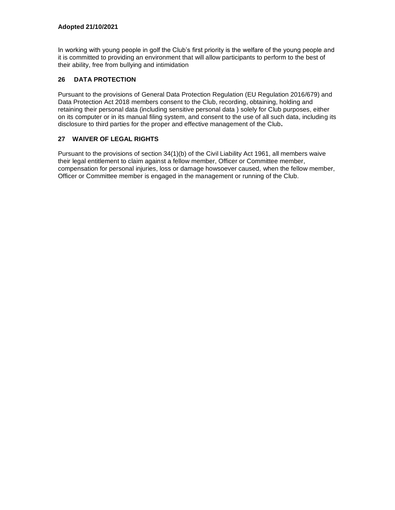In working with young people in golf the Club's first priority is the welfare of the young people and it is committed to providing an environment that will allow participants to perform to the best of their ability, free from bullying and intimidation

## **26 DATA PROTECTION**

Pursuant to the provisions of General Data Protection Regulation (EU Regulation 2016/679) and Data Protection Act 2018 members consent to the Club, recording, obtaining, holding and retaining their personal data (including sensitive personal data ) solely for Club purposes, either on its computer or in its manual filing system, and consent to the use of all such data, including its disclosure to third parties for the proper and effective management of the Club**.** 

## **27 WAIVER OF LEGAL RIGHTS**

Pursuant to the provisions of section 34(1)(b) of the Civil Liability Act 1961, all members waive their legal entitlement to claim against a fellow member, Officer or Committee member, compensation for personal injuries, loss or damage howsoever caused, when the fellow member, Officer or Committee member is engaged in the management or running of the Club.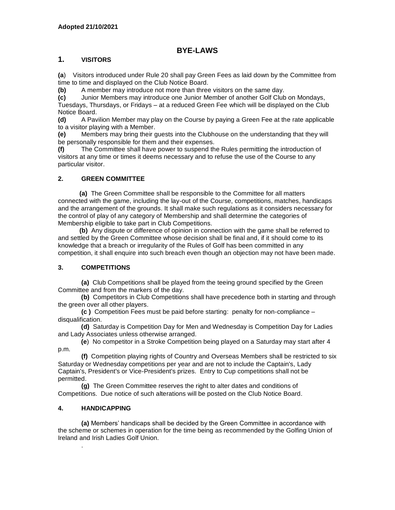## **BYE-LAWS**

## **1. VISITORS**

**(a**) Visitors introduced under Rule 20 shall pay Green Fees as laid down by the Committee from time to time and displayed on the Club Notice Board.

**(b)** A member may introduce not more than three visitors on the same day.

**(c)** Junior Members may introduce one Junior Member of another Golf Club on Mondays, Tuesdays, Thursdays, or Fridays – at a reduced Green Fee which will be displayed on the Club Notice Board.

**(d)** A Pavilion Member may play on the Course by paying a Green Fee at the rate applicable to a visitor playing with a Member.

**(e)** Members may bring their guests into the Clubhouse on the understanding that they will be personally responsible for them and their expenses.

**(f)** The Committee shall have power to suspend the Rules permitting the introduction of visitors at any time or times it deems necessary and to refuse the use of the Course to any particular visitor.

## **2. GREEN COMMITTEE**

 **(a)** The Green Committee shall be responsible to the Committee for all matters connected with the game, including the lay-out of the Course, competitions, matches, handicaps and the arrangement of the grounds. It shall make such regulations as it considers necessary for the control of play of any category of Membership and shall determine the categories of Membership eligible to take part in Club Competitions.

 **(b)** Any dispute or difference of opinion in connection with the game shall be referred to and settled by the Green Committee whose decision shall be final and, if it should come to its knowledge that a breach or irregularity of the Rules of Golf has been committed in any competition, it shall enquire into such breach even though an objection may not have been made.

## **3. COMPETITIONS**

**(a)** Club Competitions shall be played from the teeing ground specified by the Green Committee and from the markers of the day.

 **(b)** Competitors in Club Competitions shall have precedence both in starting and through the green over all other players.

**(c )** Competition Fees must be paid before starting: penalty for non-compliance – disqualification.

 **(d)** Saturday is Competition Day for Men and Wednesday is Competition Day for Ladies and Lady Associates unless otherwise arranged.

 **(e**) No competitor in a Stroke Competition being played on a Saturday may start after 4 p.m.

**(f)** Competition playing rights of Country and Overseas Members shall be restricted to six Saturday or Wednesday competitions per year and are not to include the Captain's, Lady Captain's, President's or Vice-President's prizes. Entry to Cup competitions shall not be permitted.

**(g)** The Green Committee reserves the right to alter dates and conditions of Competitions. Due notice of such alterations will be posted on the Club Notice Board.

#### **4. HANDICAPPING**

.

**(a)** Members' handicaps shall be decided by the Green Committee in accordance with the scheme or schemes in operation for the time being as recommended by the Golfing Union of Ireland and Irish Ladies Golf Union.